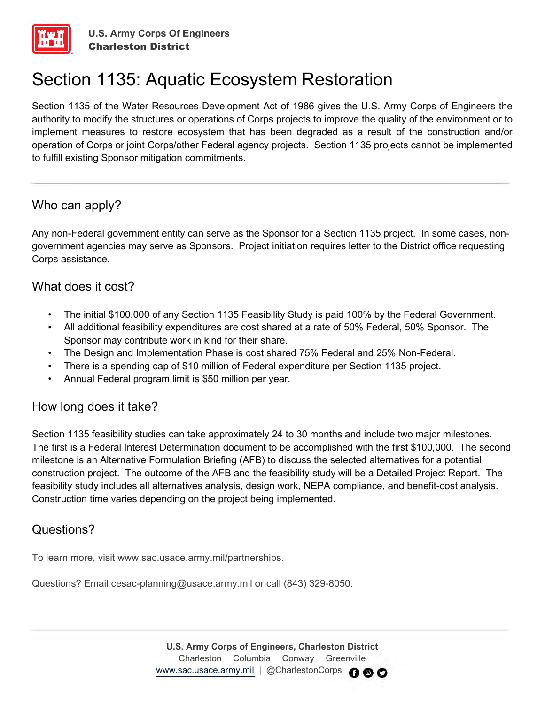

# Section 1135: Aquatic Ecosystem Restoration

Section 1135 of the Water Resources Development Act of 1986 gives the U.S. Army Corps of Engineers the authority to modify the structures or operations of Corps projects to improve the quality of the environment or to implement measures to restore ecosystem that has been degraded as a result of the construction and/or operation of Corps or joint Corps/other Federal agency projects. Section 1135 projects cannot be implemented to fulfill existing Sponsor mitigation commitments.

## Who can apply?

Any non-Federal government entity can serve as the Sponsor for a Section 1135 project. In some cases, nongovernment agencies may serve as Sponsors. Project initiation requires letter to the District office requesting Corps assistance.

## What does it cost?

- The initial \$100,000 of any Section 1135 Feasibility Study is paid 100% by the Federal Government.
- All additional feasibility expenditures are cost shared at a rate of 50% Federal, 50% Sponsor. The Sponsor may contribute work in kind for their share.
- The Design and Implementation Phase is cost shared 75% Federal and 25% Non-Federal.
- There is a spending cap of \$10 million of Federal expenditure per Section 1135 project.
- Annual Federal program limit is \$50 million per year.

## How long does it take?

Section 1135 feasibility studies can take approximately 24 to 30 months and include two major milestones. The first is a Federal Interest Determination document to be accomplished with the first \$100,000. The second milestone is an Alternative Formulation Briefing (AFB) to discuss the selected alternatives for a potential construction project. The outcome of the AFB and the feasibility study will be a Detailed Project Report. The feasibility study includes all alternatives analysis, design work, NEPA compliance, and benefit-cost analysis. Construction time varies depending on the project being implemented.

## Questions?

To learn more, visit www.sac.usace.army.mil/partnerships.

Questions? Email cesac-planning@usace.army.mil or call (843) 329-8050.